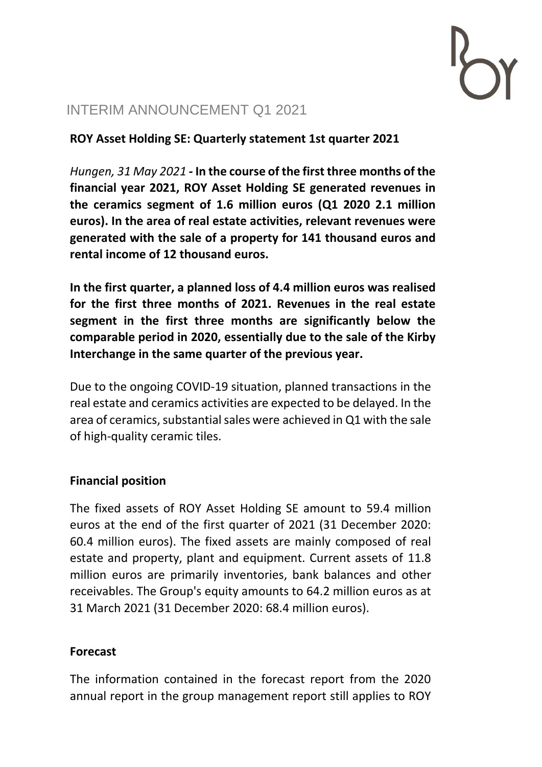# INTERIM ANNOUNCEMENT Q1 2021

**ROY Asset Holding SE: Quarterly statement 1st quarter 2021**

*Hungen, 31 May 2021 -* **In the course of the first three months of the financial year 2021, ROY Asset Holding SE generated revenues in the ceramics segment of 1.6 million euros (Q1 2020 2.1 million euros). In the area of real estate activities, relevant revenues were generated with the sale of a property for 141 thousand euros and rental income of 12 thousand euros.**

**In the first quarter, a planned loss of 4.4 million euros was realised for the first three months of 2021. Revenues in the real estate segment in the first three months are significantly below the comparable period in 2020, essentially due to the sale of the Kirby Interchange in the same quarter of the previous year.** 

Due to the ongoing COVID-19 situation, planned transactions in the real estate and ceramics activities are expected to be delayed. In the area of ceramics, substantial sales were achieved in Q1 with the sale of high-quality ceramic tiles.

# **Financial position**

The fixed assets of ROY Asset Holding SE amount to 59.4 million euros at the end of the first quarter of 2021 (31 December 2020: 60.4 million euros). The fixed assets are mainly composed of real estate and property, plant and equipment. Current assets of 11.8 million euros are primarily inventories, bank balances and other receivables. The Group's equity amounts to 64.2 million euros as at 31 March 2021 (31 December 2020: 68.4 million euros).

# **Forecast**

The information contained in the forecast report from the 2020 annual report in the group management report still applies to ROY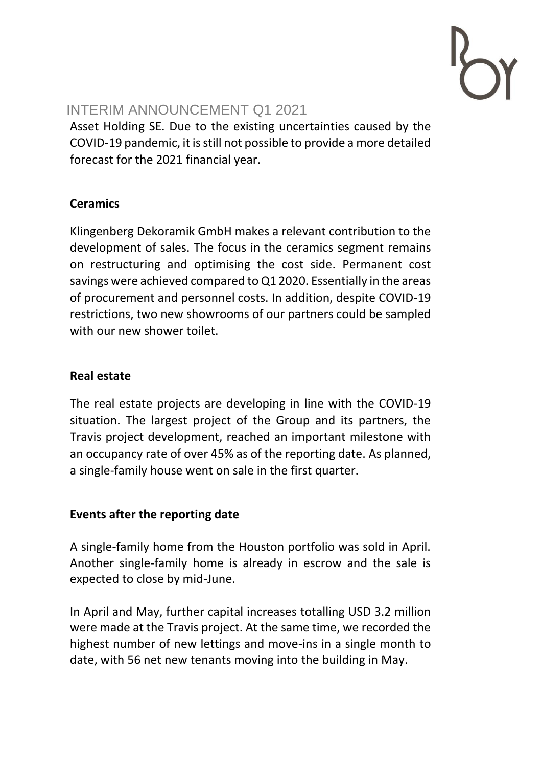

# INTERIM ANNOUNCEMENT Q1 2021

Asset Holding SE. Due to the existing uncertainties caused by the COVID-19 pandemic, it is still not possible to provide a more detailed forecast for the 2021 financial year.

# **Ceramics**

Klingenberg Dekoramik GmbH makes a relevant contribution to the development of sales. The focus in the ceramics segment remains on restructuring and optimising the cost side. Permanent cost savings were achieved compared to Q1 2020. Essentially in the areas of procurement and personnel costs. In addition, despite COVID-19 restrictions, two new showrooms of our partners could be sampled with our new shower toilet.

#### **Real estate**

The real estate projects are developing in line with the COVID-19 situation. The largest project of the Group and its partners, the Travis project development, reached an important milestone with an occupancy rate of over 45% as of the reporting date. As planned, a single-family house went on sale in the first quarter.

# **Events after the reporting date**

A single-family home from the Houston portfolio was sold in April. Another single-family home is already in escrow and the sale is expected to close by mid-June.

In April and May, further capital increases totalling USD 3.2 million were made at the Travis project. At the same time, we recorded the highest number of new lettings and move-ins in a single month to date, with 56 net new tenants moving into the building in May.